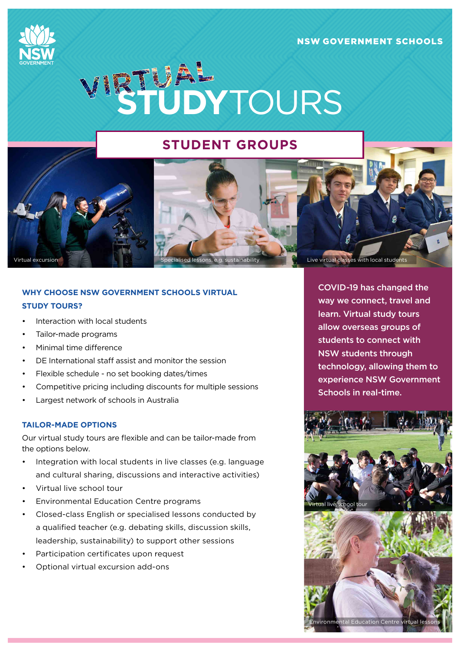### NSW GOVERNMENT SCHOOLS



# **STUDY**TOURS

Virtual excursion Specialised lessons, e.g. sustainability Specialised Live virtual classes with local students

# **STUDENT GROUPS**

## **WHY CHOOSE NSW GOVERNMENT SCHOOLS VIRTUAL STUDY TOURS?**

- Interaction with local students
- Tailor-made programs
- Minimal time difference
- DE International staff assist and monitor the session
- Flexible schedule no set booking dates/times
- Competitive pricing including discounts for multiple sessions
- Largest network of schools in Australia

### **TAILOR-MADE OPTIONS**

Our virtual study tours are flexible and can be tailor-made from the options below.

- Integration with local students in live classes (e.g. language and cultural sharing, discussions and interactive activities)
- Virtual live school tour
- Environmental Education Centre programs
- Closed-class English or specialised lessons conducted by a qualified teacher (e.g. debating skills, discussion skills, leadership, sustainability) to support other sessions
- Participation certificates upon request
- Optional virtual excursion add-ons

COVID-19 has changed the way we connect, travel and learn. Virtual study tours allow overseas groups of students to connect with NSW students through technology, allowing them to experience NSW Government Schools in real-time.